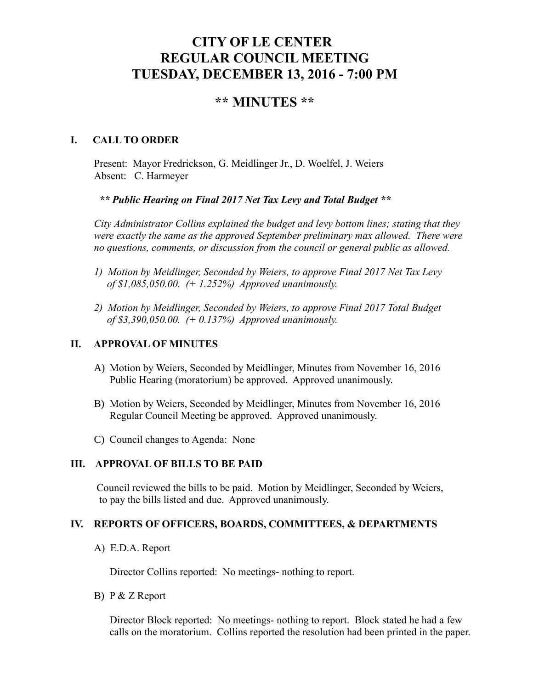# **CITY OF LE CENTER REGULAR COUNCIL MEETING TUESDAY, DECEMBER 13, 2016 - 7:00 PM**

# **\*\* MINUTES \*\***

# **I. CALL TO ORDER**

Present: Mayor Fredrickson, G. Meidlinger Jr., D. Woelfel, J. Weiers Absent: C. Harmeyer

*\*\* Public Hearing on Final 2017 Net Tax Levy and Total Budget \*\**

*City Administrator Collins explained the budget and levy bottom lines; stating that they were exactly the same as the approved September preliminary max allowed. There were no questions, comments, or discussion from the council or general public as allowed.*

- *1) Motion by Meidlinger, Seconded by Weiers, to approve Final 2017 Net Tax Levy of \$1,085,050.00. (+ 1.252%) Approved unanimously.*
- *2) Motion by Meidlinger, Seconded by Weiers, to approve Final 2017 Total Budget of \$3,390,050.00. (+ 0.137%) Approved unanimously.*

# **II. APPROVAL OF MINUTES**

- A) Motion by Weiers, Seconded by Meidlinger, Minutes from November 16, 2016 Public Hearing (moratorium) be approved. Approved unanimously.
- B) Motion by Weiers, Seconded by Meidlinger, Minutes from November 16, 2016 Regular Council Meeting be approved. Approved unanimously.
- C) Council changes to Agenda: None

#### **III. APPROVAL OF BILLS TO BE PAID**

Council reviewed the bills to be paid. Motion by Meidlinger, Seconded by Weiers, to pay the bills listed and due. Approved unanimously.

# **IV. REPORTS OF OFFICERS, BOARDS, COMMITTEES, & DEPARTMENTS**

A) E.D.A. Report

Director Collins reported: No meetings- nothing to report.

B) P & Z Report

 Director Block reported: No meetings- nothing to report. Block stated he had a few calls on the moratorium. Collins reported the resolution had been printed in the paper.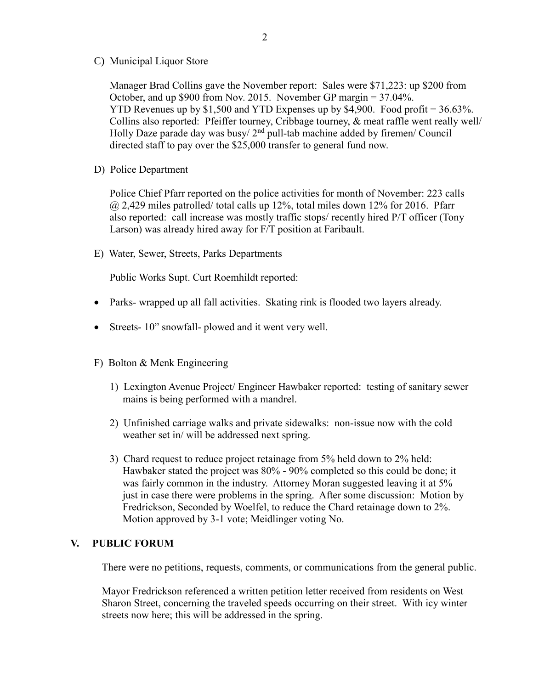C) Municipal Liquor Store

Manager Brad Collins gave the November report: Sales were \$71,223: up \$200 from October, and up \$900 from Nov. 2015. November GP margin = 37.04%. YTD Revenues up by \$1,500 and YTD Expenses up by \$4,900. Food profit = 36.63%. Collins also reported: Pfeiffer tourney, Cribbage tourney, & meat raffle went really well/ Holly Daze parade day was busy/ $2<sup>nd</sup>$  pull-tab machine added by firemen/ Council directed staff to pay over the \$25,000 transfer to general fund now.

D) Police Department

Police Chief Pfarr reported on the police activities for month of November: 223 calls  $\omega$  2,429 miles patrolled/ total calls up 12%, total miles down 12% for 2016. Pfarr also reported: call increase was mostly traffic stops/ recently hired P/T officer (Tony Larson) was already hired away for F/T position at Faribault.

E) Water, Sewer, Streets, Parks Departments

Public Works Supt. Curt Roemhildt reported:

- Parks- wrapped up all fall activities. Skating rink is flooded two layers already.
- Streets- 10" snowfall- plowed and it went very well.
- F) Bolton & Menk Engineering
	- 1) Lexington Avenue Project/ Engineer Hawbaker reported: testing of sanitary sewer mains is being performed with a mandrel.
	- 2) Unfinished carriage walks and private sidewalks: non-issue now with the cold weather set in/ will be addressed next spring.
	- 3) Chard request to reduce project retainage from 5% held down to 2% held: Hawbaker stated the project was 80% - 90% completed so this could be done; it was fairly common in the industry. Attorney Moran suggested leaving it at 5% just in case there were problems in the spring. After some discussion: Motion by Fredrickson, Seconded by Woelfel, to reduce the Chard retainage down to 2%. Motion approved by 3-1 vote; Meidlinger voting No.

# **V. PUBLIC FORUM**

There were no petitions, requests, comments, or communications from the general public.

 Mayor Fredrickson referenced a written petition letter received from residents on West Sharon Street, concerning the traveled speeds occurring on their street. With icy winter streets now here; this will be addressed in the spring.